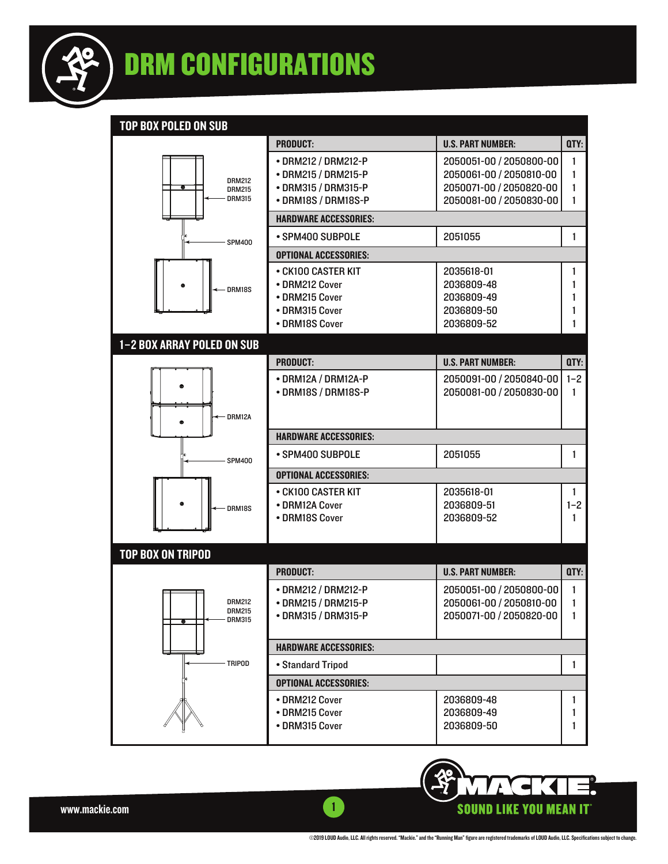

#### TOP BOX POLED ON SUB

|                                | <b>PRODUCT:</b>                            | <b>U.S. PART NUMBER:</b>                           | QTY:         |
|--------------------------------|--------------------------------------------|----------------------------------------------------|--------------|
|                                | • DRM212 / DRM212-P                        | 2050051-00 / 2050800-00                            | 1            |
| <b>DRM212</b>                  | • DRM215 / DRM215-P<br>• DRM315 / DRM315-P | 2050061-00 / 2050810-00<br>2050071-00 / 2050820-00 | 1<br>1       |
| <b>DRM215</b><br><b>DRM315</b> | • DRM18S / DRM18S-P                        | 2050081-00 / 2050830-00                            | 1            |
|                                | <b>HARDWARE ACCESSORIES:</b>               |                                                    |              |
| <b>SPM400</b>                  | • SPM400 SUBPOLE                           | 2051055                                            | 1            |
|                                | <b>OPTIONAL ACCESSORIES:</b>               |                                                    |              |
|                                | • CK100 CASTER KIT                         | 2035618-01                                         | 1            |
| DRM18S                         | • DRM212 Cover                             | 2036809-48                                         | 1            |
|                                | • DRM215 Cover                             | 2036809-49                                         | 1            |
|                                | • DRM315 Cover<br>• DRM18S Cover           | 2036809-50<br>2036809-52                           | 1<br>1       |
|                                |                                            |                                                    |              |
| 1-2 BOX ARRAY POLED ON SUB     | <b>PRODUCT:</b>                            |                                                    |              |
|                                |                                            | <b>U.S. PART NUMBER:</b>                           | QTY:         |
|                                | • DRM12A / DRM12A-P<br>• DRM18S / DRM18S-P | 2050091-00 / 2050840-00<br>2050081-00 / 2050830-00 | $1 - 2$<br>1 |
|                                |                                            |                                                    |              |
| DRM12A                         |                                            |                                                    |              |
|                                | <b>HARDWARE ACCESSORIES:</b>               |                                                    |              |
| <b>SPM400</b>                  | • SPM400 SUBPOLE                           | 2051055                                            | 1            |
|                                | <b>OPTIONAL ACCESSORIES:</b>               |                                                    |              |
|                                | • CK100 CASTER KIT                         | 2035618-01                                         | 1.           |
| DRM18S                         | • DRM12A Cover                             | 2036809-51                                         | $1 - 2$      |
|                                | • DRM18S Cover                             | 2036809-52                                         | 1            |
|                                |                                            |                                                    |              |
| <b>TOP BOX ON TRIPOD</b>       |                                            |                                                    |              |
|                                | <b>PRODUCT:</b>                            | <b>U.S. PART NUMBER:</b>                           | QTY:         |
|                                | • DRM212 / DRM212-P                        | 2050051-00 / 2050800-00                            | 1            |
| <b>DRM212</b><br><b>DRM215</b> | • DRM215 / DRM215-P                        | 2050061-00 / 2050810-00                            | 1            |
| <b>DRM315</b>                  | • DRM315 / DRM315-P                        | 2050071-00 / 2050820-00                            | 1            |
|                                |                                            |                                                    |              |
| <b>TRIPOD</b>                  | <b>HARDWARE ACCESSORIES:</b>               |                                                    | 1            |
|                                | • Standard Tripod                          |                                                    |              |
|                                | <b>OPTIONAL ACCESSORIES:</b>               |                                                    |              |
|                                | • DRM212 Cover<br>• DRM215 Cover           | 2036809-48<br>2036809-49                           | 1<br>1       |
|                                | • DRM315 Cover                             | 2036809-50                                         | 1            |
|                                |                                            |                                                    |              |

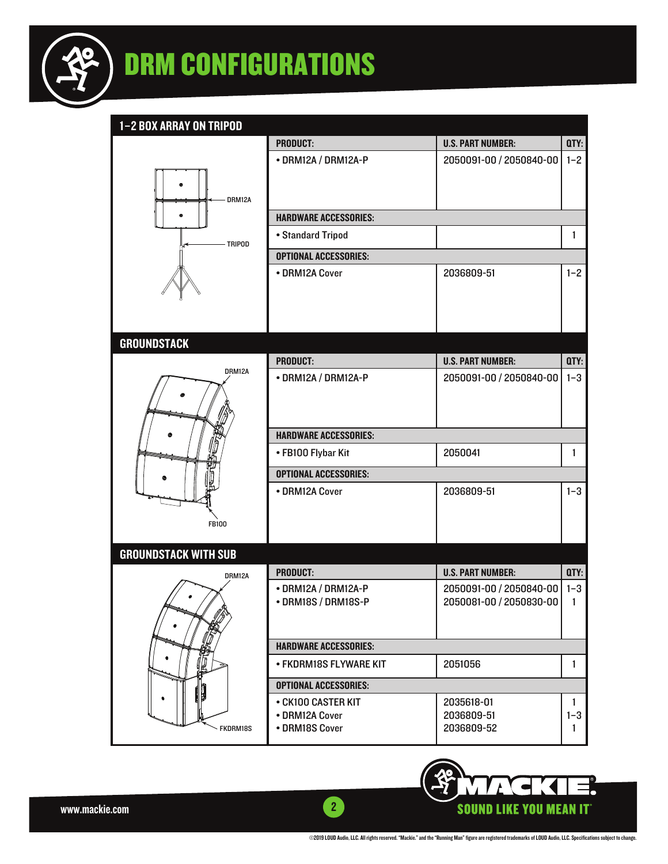

## DRM CONFIGURATIONS

1–2 BOX ARRAY ON TRIPOD

| I-Z BUA AKKAT UN TKIPUD     | <b>PRODUCT:</b>              | <b>U.S. PART NUMBER:</b> | QTY:    |
|-----------------------------|------------------------------|--------------------------|---------|
|                             |                              | 2050091-00 / 2050840-00  | $1 - 2$ |
|                             | • DRM12A / DRM12A-P          |                          |         |
|                             |                              |                          |         |
| DRM12A                      |                              |                          |         |
|                             | <b>HARDWARE ACCESSORIES:</b> |                          |         |
|                             | • Standard Tripod            |                          | 1       |
| <b>TRIPOD</b>               | <b>OPTIONAL ACCESSORIES:</b> |                          |         |
|                             | • DRM12A Cover               | 2036809-51               | $1 - 2$ |
|                             |                              |                          |         |
|                             |                              |                          |         |
|                             |                              |                          |         |
|                             |                              |                          |         |
| <b>GROUNDSTACK</b>          |                              |                          |         |
| DRM12A                      | <b>PRODUCT:</b>              | <b>U.S. PART NUMBER:</b> | QTY:    |
|                             | • DRM12A / DRM12A-P          | 2050091-00 / 2050840-00  | $1 - 3$ |
|                             |                              |                          |         |
|                             |                              |                          |         |
|                             | <b>HARDWARE ACCESSORIES:</b> |                          |         |
|                             | • FB100 Flybar Kit           | 2050041                  | 1       |
|                             | <b>OPTIONAL ACCESSORIES:</b> |                          |         |
|                             | • DRM12A Cover               | 2036809-51               | $1 - 3$ |
|                             |                              |                          |         |
| <b>FB100</b>                |                              |                          |         |
|                             |                              |                          |         |
| <b>GROUNDSTACK WITH SUB</b> |                              |                          |         |
| DRM12A                      | <b>PRODUCT:</b>              | <b>U.S. PART NUMBER:</b> | QTY:    |
|                             | • DRM12A / DRM12A-P          | 2050091-00 / 2050840-00  | $1-3$   |
|                             | • DRM18S / DRM18S-P          | 2050081-00 / 2050830-00  | 1       |
|                             |                              |                          |         |
|                             |                              |                          |         |
| ٠                           | <b>HARDWARE ACCESSORIES:</b> |                          |         |
| ₽                           | • FKDRM18S FLYWARE KIT       | 2051056                  | 1       |
|                             | <b>OPTIONAL ACCESSORIES:</b> |                          |         |
|                             | • CK100 CASTER KIT           | 2035618-01               | 1       |
|                             | • DRM12A Cover               | 2036809-51               | $1 - 3$ |
| <b>FKDRM18S</b>             | • DRM18S Cover               | 2036809-52               | 1       |

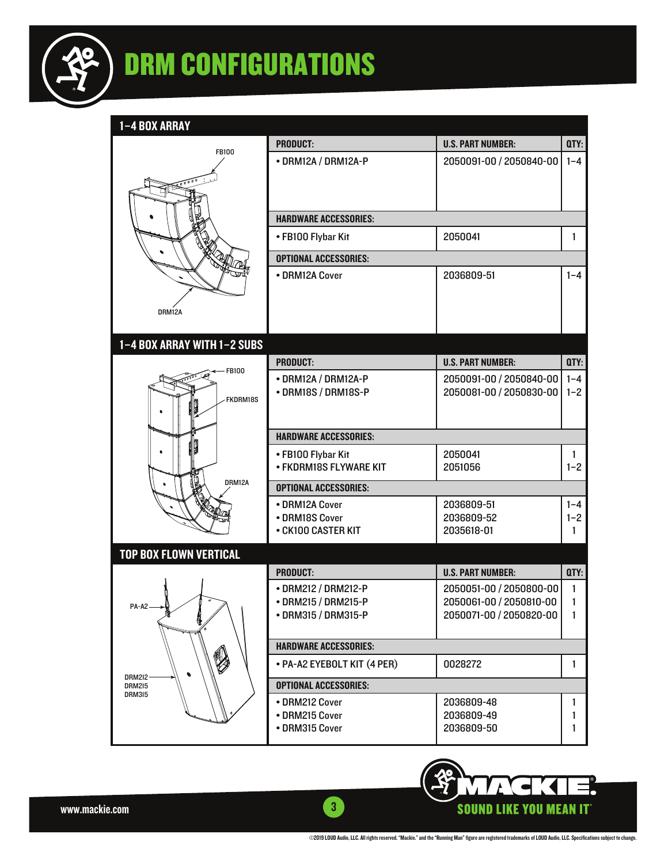

# DRM CONFIGURATIONS

1–4 BOX ARRAY

| 1-4 BUX ARRAY                  |                                              |                          |              |
|--------------------------------|----------------------------------------------|--------------------------|--------------|
| <b>FB100</b>                   | <b>PRODUCT:</b>                              | <b>U.S. PART NUMBER:</b> | QTY:         |
|                                | • DRM12A / DRM12A-P                          | 2050091-00 / 2050840-00  | $1 - 4$      |
|                                |                                              |                          |              |
|                                |                                              |                          |              |
|                                |                                              |                          |              |
|                                | <b>HARDWARE ACCESSORIES:</b>                 |                          |              |
|                                | • FB100 Flybar Kit                           | 2050041                  | 1            |
|                                | <b>OPTIONAL ACCESSORIES:</b>                 |                          |              |
|                                | • DRM12A Cover                               | 2036809-51               | $1 - 4$      |
|                                |                                              |                          |              |
| DRM12A                         |                                              |                          |              |
|                                |                                              |                          |              |
| 1-4 BOX ARRAY WITH 1-2 SUBS    |                                              |                          |              |
|                                | <b>PRODUCT:</b>                              | <b>U.S. PART NUMBER:</b> | QTY:         |
| FB100                          | • DRM12A / DRM12A-P                          | 2050091-00 / 2050840-00  | $1 - 4$      |
| FKDRM18S                       | • DRM18S / DRM18S-P                          | 2050081-00 / 2050830-00  | $1 - 2$      |
|                                |                                              |                          |              |
|                                |                                              |                          |              |
|                                | <b>HARDWARE ACCESSORIES:</b>                 |                          |              |
|                                | • FB100 Flybar Kit<br>• FKDRM18S FLYWARE KIT | 2050041<br>2051056       | 1<br>$1 - 2$ |
| DRM12A                         |                                              |                          |              |
|                                | <b>OPTIONAL ACCESSORIES:</b>                 |                          |              |
|                                | • DRM12A Cover                               | 2036809-51               | $1 - 4$      |
|                                | • DRM18S Cover<br>• CK100 CASTER KIT         | 2036809-52<br>2035618-01 | $1 - 2$<br>1 |
|                                |                                              |                          |              |
| <b>TOP BOX FLOWN VERTICAL</b>  |                                              |                          |              |
|                                | <b>PRODUCT:</b>                              | <b>U.S. PART NUMBER:</b> | QTY:         |
|                                | • DRM212 / DRM212-P                          | 2050051-00 / 2050800-00  | $\mathbf{1}$ |
| PA-A2                          | • DRM215 / DRM215-P                          | 2050061-00 / 2050810-00  | 1            |
| ē.                             | • DRM315 / DRM315-P                          | 2050071-00 / 2050820-00  | $\mathbf{1}$ |
|                                | <b>HARDWARE ACCESSORIES:</b>                 |                          |              |
| V                              | • PA-A2 EYEBOLT KIT (4 PER)                  | 0028272                  | 1            |
| <b>DRM2I2-</b>                 |                                              |                          |              |
| <b>DRM215</b><br><b>DRM315</b> | <b>OPTIONAL ACCESSORIES:</b>                 |                          |              |
|                                | • DRM212 Cover                               | 2036809-48               | 1            |
|                                | • DRM215 Cover<br>• DRM315 Cover             | 2036809-49<br>2036809-50 | 1<br>1       |
|                                |                                              |                          |              |



www.mackie.com 3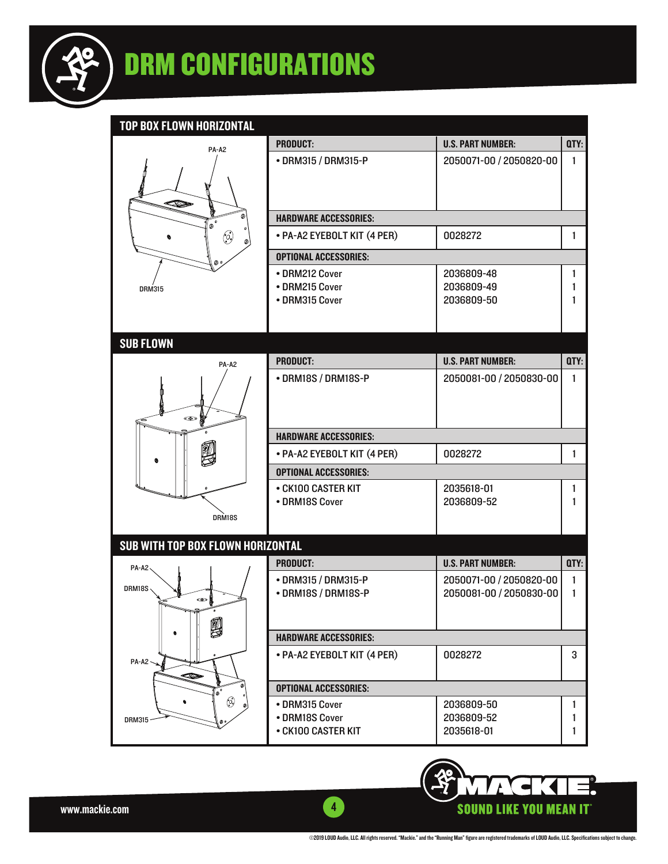

TOP BOY ELOWN HOPIZONTAL

| <u>IUP DUA FLUWN NUNIZUN IAL</u>  |                                            |                                                    |              |
|-----------------------------------|--------------------------------------------|----------------------------------------------------|--------------|
| PA-A2                             | <b>PRODUCT:</b>                            | <b>U.S. PART NUMBER:</b>                           | QTY:         |
|                                   | • DRM315 / DRM315-P                        | 2050071-00 / 2050820-00                            | $\mathbf{1}$ |
|                                   |                                            |                                                    |              |
|                                   |                                            |                                                    |              |
| ข                                 |                                            |                                                    |              |
| $\overline{\bullet}$              | <b>HARDWARE ACCESSORIES:</b>               |                                                    |              |
| $\odot$                           | • PA-A2 EYEBOLT KIT (4 PER)                | 0028272                                            | 1            |
|                                   | <b>OPTIONAL ACCESSORIES:</b>               |                                                    |              |
|                                   | • DRM212 Cover                             | 2036809-48                                         | 1            |
| <b>DRM315</b>                     | • DRM215 Cover                             | 2036809-49                                         | 1            |
|                                   | • DRM315 Cover                             | 2036809-50                                         | 1            |
|                                   |                                            |                                                    |              |
| <b>SUB FLOWN</b>                  |                                            |                                                    |              |
|                                   | <b>PRODUCT:</b>                            | <b>U.S. PART NUMBER:</b>                           | QTY:         |
| PA-A2                             |                                            |                                                    |              |
|                                   | • DRM18S / DRM18S-P                        | 2050081-00 / 2050830-00                            | $\mathbf{1}$ |
|                                   |                                            |                                                    |              |
| $\bullet$                         |                                            |                                                    |              |
|                                   | <b>HARDWARE ACCESSORIES:</b>               |                                                    |              |
|                                   | • PA-A2 EYEBOLT KIT (4 PER)                | 0028272                                            | 1            |
|                                   | <b>OPTIONAL ACCESSORIES:</b>               |                                                    |              |
|                                   | • CK100 CASTER KIT                         | 2035618-01                                         | 1            |
|                                   | • DRM18S Cover                             | 2036809-52                                         | 1            |
| DRM18S                            |                                            |                                                    |              |
| SUB WITH TOP BOX FLOWN HORIZONTAL |                                            |                                                    |              |
|                                   | <b>PRODUCT:</b>                            | <b>U.S. PART NUMBER:</b>                           | QTY:         |
| $PA- A2 \sim$                     |                                            |                                                    |              |
| DRM18S                            | • DRM315 / DRM315-P<br>• DRM18S / DRM18S-P | 2050071-00 / 2050820-00<br>2050081-00 / 2050830-00 | 1<br>1       |
| $\bullet$                         |                                            |                                                    |              |
|                                   |                                            |                                                    |              |
| 9                                 | <b>HARDWARE ACCESSORIES:</b>               |                                                    |              |
|                                   | • PA-A2 EYEBOLT KIT (4 PER)                | 0028272                                            | 3            |
| $PA-A2$                           |                                            |                                                    |              |
| œ<br>$\mathbf{e}^{\mathbf{e}}$    | <b>OPTIONAL ACCESSORIES:</b>               |                                                    |              |
| $\circledcirc$                    | • DRM315 Cover                             | 2036809-50                                         | 1            |
| <b>DRM315</b>                     | • DRM18S Cover                             | 2036809-52                                         | 1            |
|                                   | • CK100 CASTER KIT                         | 2035618-01                                         | 1            |
|                                   |                                            |                                                    |              |